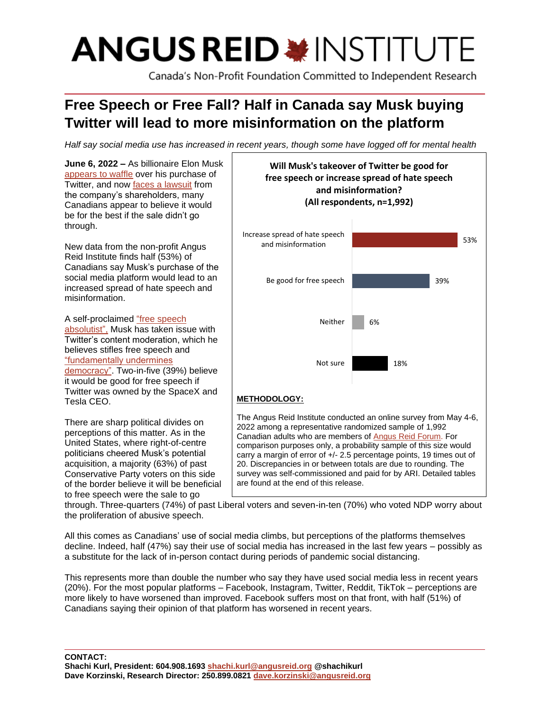# **ANGUS REID \*INSTITUTE**

Canada's Non-Profit Foundation Committed to Independent Research

# **Free Speech or Free Fall? Half in Canada say Musk buying Twitter will lead to more misinformation on the platform**

*Half say social media use has increased in recent years, though some have logged off for mental health*

**June 6, 2022 –** As billionaire Elon Musk [appears to waffle](https://www.cnbc.com/2022/05/26/twitter-shareholders-sue-elon-musk-and-twitter-over-chaotic-deal.html) over his purchase of Twitter, and now [faces a lawsuit](https://www.cnbc.com/2022/05/26/twitter-shareholders-sue-elon-musk-and-twitter-over-chaotic-deal.html) from the company's shareholders, many Canadians appear to believe it would be for the best if the sale didn't go through.

New data from the non-profit Angus Reid Institute finds half (53%) of Canadians say Musk's purchase of the social media platform would lead to an increased spread of hate speech and misinformation.

A self-proclaimed ["free speech](https://www.theguardian.com/technology/2022/apr/14/how-free-speech-absolutist-elon-musk-would-transform-twitter)  [absolutist",](https://www.theguardian.com/technology/2022/apr/14/how-free-speech-absolutist-elon-musk-would-transform-twitter) Musk has taken issue with Twitter's content moderation, which he believes stifles free speech and ["fundamentally undermines](https://www.theguardian.com/technology/2022/apr/14/how-free-speech-absolutist-elon-musk-would-transform-twitter)  [democracy".](https://www.theguardian.com/technology/2022/apr/14/how-free-speech-absolutist-elon-musk-would-transform-twitter) Two-in-five (39%) believe it would be good for free speech if Twitter was owned by the SpaceX and Tesla CEO.

There are sharp political divides on perceptions of this matter. As in the United States, where right-of-centre politicians cheered Musk's potential acquisition, a majority (63%) of past Conservative Party voters on this side of the border believe it will be beneficial to free speech were the sale to go



**Will Musk's takeover of Twitter be good for** 

through. Three-quarters (74%) of past Liberal voters and seven-in-ten (70%) who voted NDP worry about the proliferation of abusive speech.

are found at the end of this release.

All this comes as Canadians' use of social media climbs, but perceptions of the platforms themselves decline. Indeed, half (47%) say their use of social media has increased in the last few years – possibly as a substitute for the lack of in-person contact during periods of pandemic social distancing.

This represents more than double the number who say they have used social media less in recent years (20%). For the most popular platforms – Facebook, Instagram, Twitter, Reddit, TikTok – perceptions are more likely to have worsened than improved. Facebook suffers most on that front, with half (51%) of Canadians saying their opinion of that platform has worsened in recent years.

**CONTACT: Shachi Kurl, President: 604.908.1693 [shachi.kurl@angusreid.org](mailto:shachi.kurl@angusreid.org) @shachikurl Dave Korzinski, Research Director: 250.899.0821 [dave.korzinski@angusreid.org](mailto:dave.korzinski@angusreid.org)**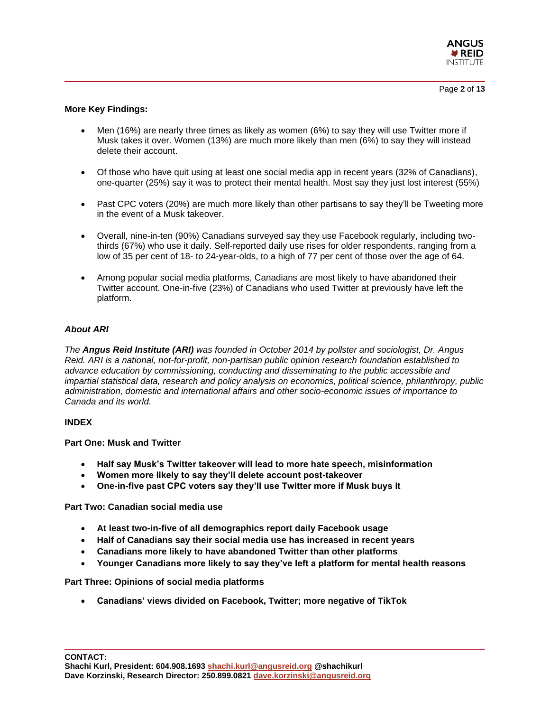

# **More Key Findings:**

- Men (16%) are nearly three times as likely as women (6%) to say they will use Twitter more if Musk takes it over. Women (13%) are much more likely than men (6%) to say they will instead delete their account.
- Of those who have quit using at least one social media app in recent years (32% of Canadians), one-quarter (25%) say it was to protect their mental health. Most say they just lost interest (55%)
- Past CPC voters (20%) are much more likely than other partisans to say they'll be Tweeting more in the event of a Musk takeover.
- Overall, nine-in-ten (90%) Canadians surveyed say they use Facebook regularly, including twothirds (67%) who use it daily. Self-reported daily use rises for older respondents, ranging from a low of 35 per cent of 18- to 24-year-olds, to a high of 77 per cent of those over the age of 64.
- Among popular social media platforms, Canadians are most likely to have abandoned their Twitter account. One-in-five (23%) of Canadians who used Twitter at previously have left the platform.

# *About ARI*

*The Angus Reid Institute (ARI) was founded in October 2014 by pollster and sociologist, Dr. Angus Reid. ARI is a national, not-for-profit, non-partisan public opinion research foundation established to advance education by commissioning, conducting and disseminating to the public accessible and impartial statistical data, research and policy analysis on economics, political science, philanthropy, public administration, domestic and international affairs and other socio-economic issues of importance to Canada and its world.*

# **INDEX**

# **Part One: Musk and Twitter**

- **Half say Musk's Twitter takeover will lead to more hate speech, misinformation**
- **Women more likely to say they'll delete account post-takeover**
- **One-in-five past CPC voters say they'll use Twitter more if Musk buys it**

**Part Two: Canadian social media use**

- **At least two-in-five of all demographics report daily Facebook usage**
- **Half of Canadians say their social media use has increased in recent years**
- **Canadians more likely to have abandoned Twitter than other platforms**
- **Younger Canadians more likely to say they've left a platform for mental health reasons**

**Part Three: Opinions of social media platforms**

• **Canadians' views divided on Facebook, Twitter; more negative of TikTok**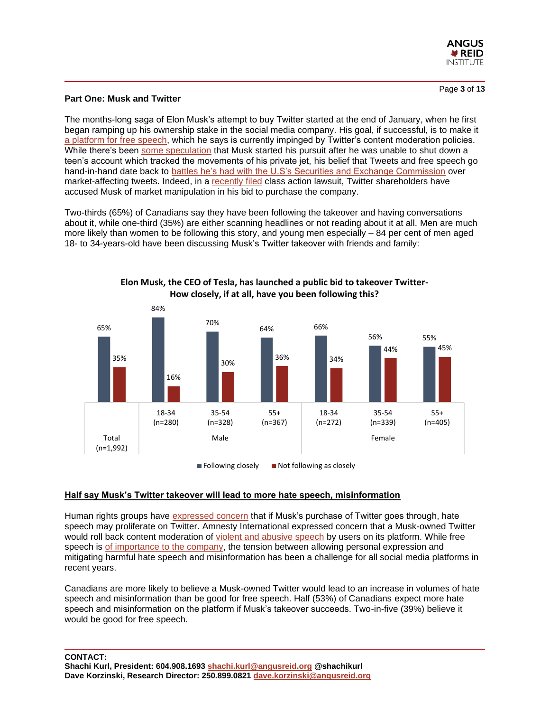

Page **3** of **13**

# **Part One: Musk and Twitter**

The months-long saga of Elon Musk's attempt to buy Twitter started at the end of January, when he first began ramping up his ownership stake in the social media company. His goal, if successful, is to make it [a platform for free speech,](https://www.newyorker.com/news/q-and-a/why-elon-musk-bought-twitter) which he says is currently impinged by Twitter's content moderation policies. While there's been [some speculation](https://in.mashable.com/tech/29969/elon-musk-bought-twitter-to-stop-a-teen-from-tracking-his-flight-twitter-thinks-so) that Musk started his pursuit after he was unable to shut down a teen's account which tracked the movements of his private jet, his belief that Tweets and free speech go hand-in-hand date back to battles he's [had with the U.S's Securities and Exchange Commission](https://www.wired.com/story/elon-musk-tesla-twitter-sec-settlement/) over market-affecting tweets. Indeed, in a [recently filed](https://www.cnbc.com/2022/05/26/twitter-shareholders-sue-elon-musk-and-twitter-over-chaotic-deal.html) class action lawsuit, Twitter shareholders have accused Musk of market manipulation in his bid to purchase the company.

Two-thirds (65%) of Canadians say they have been following the takeover and having conversations about it, while one-third (35%) are either scanning headlines or not reading about it at all. Men are much more likely than women to be following this story, and young men especially – 84 per cent of men aged 18- to 34-years-old have been discussing Musk's Twitter takeover with friends and family:



**Elon Musk, the CEO of Tesla, has launched a public bid to takeover Twitter-How closely, if at all, have you been following this?**

# **Half say Musk's Twitter takeover will lead to more hate speech, misinformation**

Human rights groups have [expressed concern](https://www.cbc.ca/news/world/elon-musk-twitter-hate-speech-concerns-1.6430935) that if Musk's purchase of Twitter goes through, hate speech may proliferate on Twitter. Amnesty International expressed concern that a Musk-owned Twitter would roll back content moderation of [violent and abusive speech](https://www.cbc.ca/news/world/elon-musk-twitter-hate-speech-concerns-1.6430935) by users on its platform. While free speech is [of importance to the company,](https://twitter.com/jack/status/651003891153108997) the tension between allowing personal expression and mitigating harmful hate speech and misinformation has been a challenge for all social media platforms in recent years.

Canadians are more likely to believe a Musk-owned Twitter would lead to an increase in volumes of hate speech and misinformation than be good for free speech. Half (53%) of Canadians expect more hate speech and misinformation on the platform if Musk's takeover succeeds. Two-in-five (39%) believe it would be good for free speech.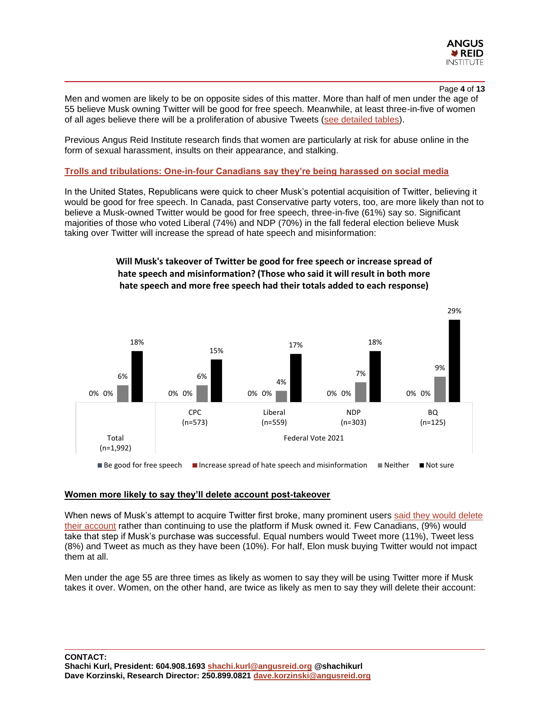

#### Page **4** of **13**

Men and women are likely to be on opposite sides of this matter. More than half of men under the age of 55 believe Musk owning Twitter will be good for free speech. Meanwhile, at least three-in-five of women of all ages believe there will be a proliferation of abusive Tweets [\(see detailed tables\)](https://angusreid.org/wp-content/uploads/2022/06/2022.06.02_Twitter_releasetables.pdf).

Previous Angus Reid Institute research finds that women are particularly at risk for abuse online in the form of sexual harassment, insults on their appearance, and stalking.

#### **[Trolls and tribulations: One-in-four Canadians say they're being harassed on social media](https://angusreid.org/social-media/)**

In the United States, Republicans were quick to cheer Musk's potential acquisition of Twitter, believing it would be good for free speech. In Canada, past Conservative party voters, too, are more likely than not to believe a Musk-owned Twitter would be good for free speech, three-in-five (61%) say so. Significant majorities of those who voted Liberal (74%) and NDP (70%) in the fall federal election believe Musk taking over Twitter will increase the spread of hate speech and misinformation:



# **Will Musk's takeover of Twitter be good for free speech or increase spread of hate speech and misinformation? (Those who said it will result in both more hate speech and more free speech had their totals added to each response)**

## **Women more likely to say they'll delete account post-takeover**

When news of Musk's attempt to acquire Twitter first broke, many prominent users [said they would delete](https://www.businessinsider.com/some-twitter-users-say-quitting-platform-over-elon-musk-deal-2022-4)  [their account](https://www.businessinsider.com/some-twitter-users-say-quitting-platform-over-elon-musk-deal-2022-4) rather than continuing to use the platform if Musk owned it. Few Canadians, (9%) would take that step if Musk's purchase was successful. Equal numbers would Tweet more (11%), Tweet less (8%) and Tweet as much as they have been (10%). For half, Elon musk buying Twitter would not impact them at all.

Men under the age 55 are three times as likely as women to say they will be using Twitter more if Musk takes it over. Women, on the other hand, are twice as likely as men to say they will delete their account: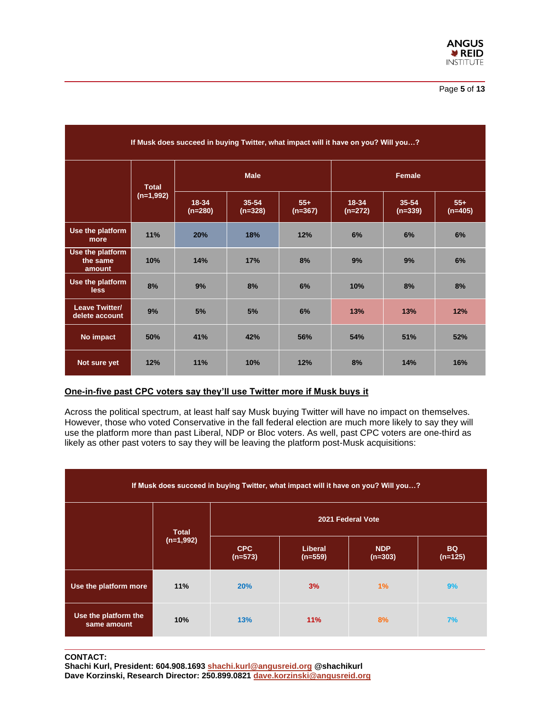

| If Musk does succeed in buying Twitter, what impact will it have on you? Will you? |                             |                        |                    |                    |                        |                    |                    |  |  |
|------------------------------------------------------------------------------------|-----------------------------|------------------------|--------------------|--------------------|------------------------|--------------------|--------------------|--|--|
|                                                                                    | <b>Total</b><br>$(n=1,992)$ | <b>Male</b>            |                    |                    | Female                 |                    |                    |  |  |
|                                                                                    |                             | $18 - 34$<br>$(n=280)$ | 35-54<br>$(n=328)$ | $55+$<br>$(n=367)$ | $18 - 34$<br>$(n=272)$ | 35-54<br>$(n=339)$ | $55+$<br>$(n=405)$ |  |  |
| Use the platform<br>more                                                           | 11%                         | 20%                    | 18%                | 12%                | 6%                     | 6%                 | 6%                 |  |  |
| Use the platform<br>the same<br>amount                                             | 10%                         | 14%                    | 17%                | 8%                 | 9%                     | 9%                 | 6%                 |  |  |
| Use the platform<br><b>less</b>                                                    | 8%                          | 9%                     | 8%                 | 6%                 | 10%                    | 8%                 | 8%                 |  |  |
| Leave Twitter/<br>delete account                                                   | 9%                          | 5%                     | 5%                 | 6%                 | 13%                    | 13%                | 12%                |  |  |
| No impact                                                                          | 50%                         | 41%                    | 42%                | 56%                | 54%                    | 51%                | 52%                |  |  |
| Not sure yet                                                                       | 12%                         | 11%                    | 10%                | 12%                | 8%                     | 14%                | 16%                |  |  |

# **One-in-five past CPC voters say they'll use Twitter more if Musk buys it**

Across the political spectrum, at least half say Musk buying Twitter will have no impact on themselves. However, those who voted Conservative in the fall federal election are much more likely to say they will use the platform more than past Liberal, NDP or Bloc voters. As well, past CPC voters are one-third as likely as other past voters to say they will be leaving the platform post-Musk acquisitions:

| If Musk does succeed in buying Twitter, what impact will it have on you? Will you? |              |                         |                             |                         |                        |  |  |  |
|------------------------------------------------------------------------------------|--------------|-------------------------|-----------------------------|-------------------------|------------------------|--|--|--|
|                                                                                    | <b>Total</b> | 2021 Federal Vote       |                             |                         |                        |  |  |  |
|                                                                                    | $(n=1,992)$  | <b>CPC</b><br>$(n=573)$ | <b>Liberal</b><br>$(n=559)$ | <b>NDP</b><br>$(n=303)$ | <b>BQ</b><br>$(n=125)$ |  |  |  |
| Use the platform more                                                              | 11%          | 20%                     | 3%                          | 1%                      | 9%                     |  |  |  |
| Use the platform the<br>same amount                                                | 10%          | 13%                     | 11%                         | 8%                      | 7%                     |  |  |  |

#### **CONTACT:**

**Shachi Kurl, President: 604.908.1693 [shachi.kurl@angusreid.org](mailto:shachi.kurl@angusreid.org) @shachikurl Dave Korzinski, Research Director: 250.899.0821 [dave.korzinski@angusreid.org](mailto:dave.korzinski@angusreid.org)**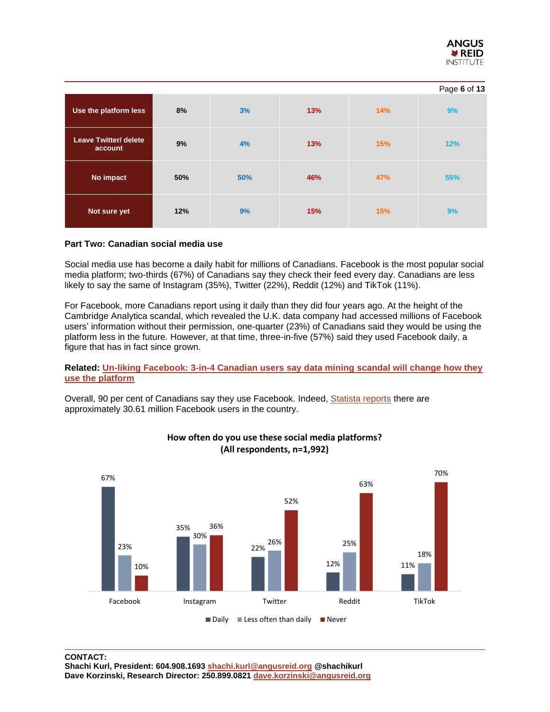

|                                         |     |     |     |     | Page 6 of 13 |
|-----------------------------------------|-----|-----|-----|-----|--------------|
| Use the platform less                   | 8%  | 3%  | 13% | 14% | 9%           |
| <b>Leave Twitter/ delete</b><br>account | 9%  | 4%  | 13% | 15% | 12%          |
| No impact                               | 50% | 50% | 46% | 47% | 55%          |
| Not sure yet                            | 12% | 9%  | 15% | 15% | 9%           |

# **Part Two: Canadian social media use**

Social media use has become a daily habit for millions of Canadians. Facebook is the most popular social media platform; two-thirds (67%) of Canadians say they check their feed every day. Canadians are less likely to say the same of Instagram (35%), Twitter (22%), Reddit (12%) and TikTok (11%).

For Facebook, more Canadians report using it daily than they did four years ago. At the height of the Cambridge Analytica scandal, which revealed the U.K. data company had accessed millions of Facebook users' information without their permission, one-quarter (23%) of Canadians said they would be using the platform less in the future. However, at that time, three-in-five (57%) said they used Facebook daily, a figure that has in fact since grown.

# **Related: [Un-liking Facebook: 3-in-4 Canadian users say data mining scandal will change how they](https://angusreid.org/facebook-cambridge-analytica-tech/)  [use the platform](https://angusreid.org/facebook-cambridge-analytica-tech/)**

Overall, 90 per cent of Canadians say they use Facebook. Indeed, [Statista reports](https://www.statista.com/statistics/863754/facebook-user-share-in-canada-by-age/) there are approximately 30.61 million Facebook users in the country.



# **How often do you use these social media platforms? (All respondents, n=1,992)**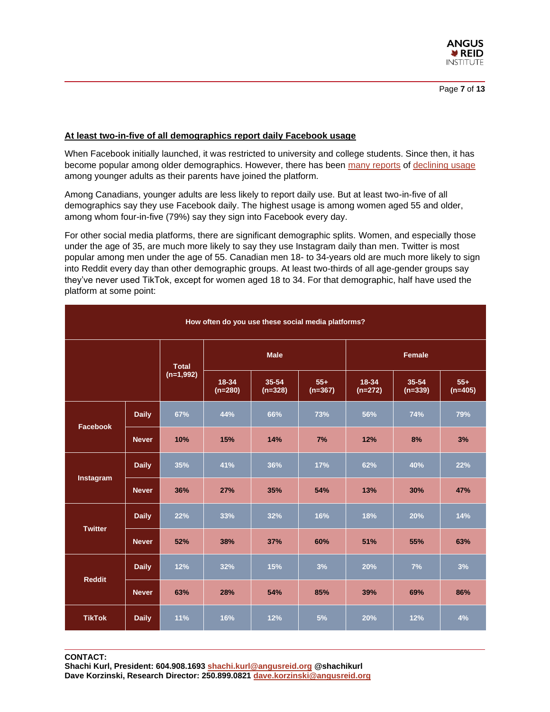

Page **7** of **13**

# **At least two-in-five of all demographics report daily Facebook usage**

When Facebook initially launched, it was restricted to university and college students. Since then, it has become popular among older demographics. However, there has been [many reports](https://www.theverge.com/22743744/facebook-teen-usage-decline-frances-haugen-leaks) of [declining usage](https://fortune.com/2021/10/25/facebook-teens-usage-harm-studies/#:~:text=In%20fact%2C%20Facebook) among younger adults as their parents have joined the platform.

Among Canadians, younger adults are less likely to report daily use. But at least two-in-five of all demographics say they use Facebook daily. The highest usage is among women aged 55 and older, among whom four-in-five (79%) say they sign into Facebook every day.

For other social media platforms, there are significant demographic splits. Women, and especially those under the age of 35, are much more likely to say they use Instagram daily than men. Twitter is most popular among men under the age of 55. Canadian men 18- to 34-years old are much more likely to sign into Reddit every day than other demographic groups. At least two-thirds of all age-gender groups say they've never used TikTok, except for women aged 18 to 34. For that demographic, half have used the platform at some point:

| How often do you use these social media platforms? |              |              |                    |                    |                    |                    |                    |                    |  |
|----------------------------------------------------|--------------|--------------|--------------------|--------------------|--------------------|--------------------|--------------------|--------------------|--|
|                                                    |              | <b>Total</b> |                    | <b>Male</b>        |                    | <b>Female</b>      |                    |                    |  |
|                                                    |              | $(n=1,992)$  | 18-34<br>$(n=280)$ | 35-54<br>$(n=328)$ | $55+$<br>$(n=367)$ | 18-34<br>$(n=272)$ | 35-54<br>$(n=339)$ | $55+$<br>$(n=405)$ |  |
| <b>Facebook</b>                                    | <b>Daily</b> | 67%          | 44%                | 66%                | 73%                | 56%                | 74%                | 79%                |  |
|                                                    | <b>Never</b> | 10%          | 15%                | 14%                | 7%                 | 12%                | 8%                 | 3%                 |  |
|                                                    | <b>Daily</b> | 35%          | 41%                | 36%                | 17%                | 62%                | 40%                | 22%                |  |
| Instagram                                          | <b>Never</b> | 36%          | 27%                | 35%                | 54%                | 13%                | 30%                | 47%                |  |
| <b>Twitter</b>                                     | <b>Daily</b> | 22%          | 33%                | 32%                | 16%                | 18%                | 20%                | 14%                |  |
|                                                    | <b>Never</b> | 52%          | 38%                | 37%                | 60%                | 51%                | 55%                | 63%                |  |
|                                                    | <b>Daily</b> | 12%          | 32%                | 15%                | 3%                 | 20%                | 7%                 | 3%                 |  |
| <b>Reddit</b>                                      | <b>Never</b> | 63%          | 28%                | 54%                | 85%                | 39%                | 69%                | 86%                |  |
| <b>TikTok</b>                                      | <b>Daily</b> | 11%          | 16%                | 12%                | 5%                 | 20%                | 12%                | 4%                 |  |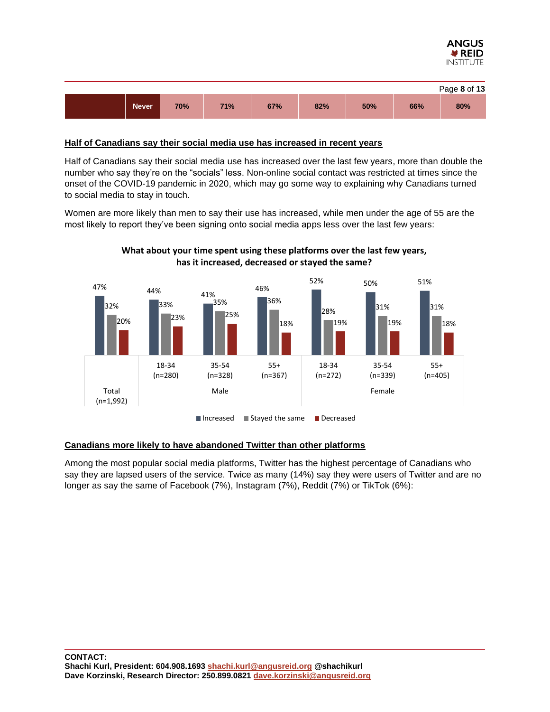



# **Half of Canadians say their social media use has increased in recent years**

Half of Canadians say their social media use has increased over the last few years, more than double the number who say they're on the "socials" less. Non-online social contact was restricted at times since the onset of the COVID-19 pandemic in 2020, which may go some way to explaining why Canadians turned to social media to stay in touch.

Women are more likely than men to say their use has increased, while men under the age of 55 are the most likely to report they've been signing onto social media apps less over the last few years:



# **What about your time spent using these platforms over the last few years, has it increased, decreased or stayed the same?**

# **Canadians more likely to have abandoned Twitter than other platforms**

Among the most popular social media platforms, Twitter has the highest percentage of Canadians who say they are lapsed users of the service. Twice as many (14%) say they were users of Twitter and are no longer as say the same of Facebook (7%), Instagram (7%), Reddit (7%) or TikTok (6%):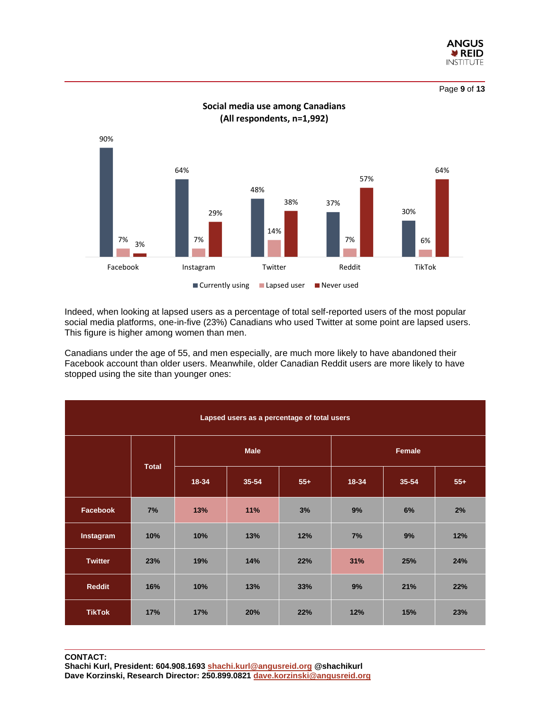

Page **9** of **13**



**Social media use among Canadians (All respondents, n=1,992)**

Indeed, when looking at lapsed users as a percentage of total self-reported users of the most popular social media platforms, one-in-five (23%) Canadians who used Twitter at some point are lapsed users. This figure is higher among women than men.

Canadians under the age of 55, and men especially, are much more likely to have abandoned their Facebook account than older users. Meanwhile, older Canadian Reddit users are more likely to have stopped using the site than younger ones:

| Lapsed users as a percentage of total users |              |             |       |       |               |       |       |  |  |
|---------------------------------------------|--------------|-------------|-------|-------|---------------|-------|-------|--|--|
|                                             | <b>Total</b> | <b>Male</b> |       |       | <b>Female</b> |       |       |  |  |
|                                             |              | $18 - 34$   | 35-54 | $55+$ | 18-34         | 35-54 | $55+$ |  |  |
| Facebook                                    | 7%           | 13%         | 11%   | 3%    | 9%            | 6%    | 2%    |  |  |
| Instagram                                   | 10%          | 10%         | 13%   | 12%   | 7%            | 9%    | 12%   |  |  |
| <b>Twitter</b>                              | 23%          | 19%         | 14%   | 22%   | 31%           | 25%   | 24%   |  |  |
| <b>Reddit</b>                               | 16%          | 10%         | 13%   | 33%   | 9%            | 21%   | 22%   |  |  |
| <b>TikTok</b>                               | 17%          | 17%         | 20%   | 22%   | 12%           | 15%   | 23%   |  |  |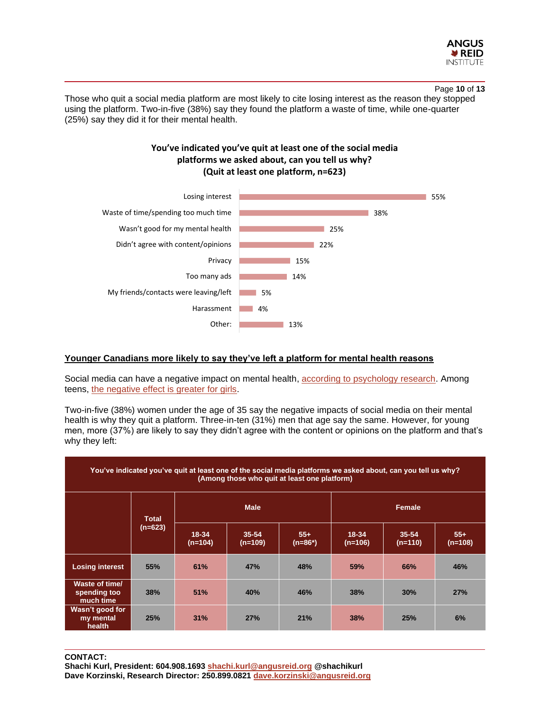

## Page **10** of **13**

Those who quit a social media platform are most likely to cite losing interest as the reason they stopped using the platform. Two-in-five (38%) say they found the platform a waste of time, while one-quarter (25%) say they did it for their mental health.





# **Younger Canadians more likely to say they've left a platform for mental health reasons**

Social media can have a negative impact on mental health, [according to psychology research.](https://www.self.com/story/social-media-mental-health-effects) Among teens, [the negative effect is greater for girls.](https://www.self.com/story/social-media-mental-health-effects)

Two-in-five (38%) women under the age of 35 say the negative impacts of social media on their mental health is why they quit a platform. Three-in-ten (31%) men that age say the same. However, for young men, more (37%) are likely to say they didn't agree with the content or opinions on the platform and that's why they left:

| You've indicated you've quit at least one of the social media platforms we asked about, can you tell us why?<br>(Among those who quit at least one platform) |                         |                        |                    |                  |                    |                    |                  |  |  |
|--------------------------------------------------------------------------------------------------------------------------------------------------------------|-------------------------|------------------------|--------------------|------------------|--------------------|--------------------|------------------|--|--|
|                                                                                                                                                              | <b>Total</b><br>(n=623) | <b>Male</b>            |                    |                  | <b>Female</b>      |                    |                  |  |  |
|                                                                                                                                                              |                         | $18 - 34$<br>$(n=104)$ | 35-54<br>$(n=109)$ | $55+$<br>(n=86*) | 18-34<br>$(n=106)$ | 35-54<br>$(n=110)$ | $55+$<br>(n=108) |  |  |
| <b>Losing interest</b>                                                                                                                                       | 55%                     | 61%                    | 47%                | 48%              | 59%                | 66%                | 46%              |  |  |
| Waste of time/<br>spending too<br>much time                                                                                                                  | 38%                     | 51%                    | 40%                | 46%              | 38%                | 30%                | 27%              |  |  |
| Wasn't good for<br>my mental<br>health                                                                                                                       | 25%                     | 31%                    | 27%                | 21%              | 38%                | 25%                | 6%               |  |  |

**CONTACT:**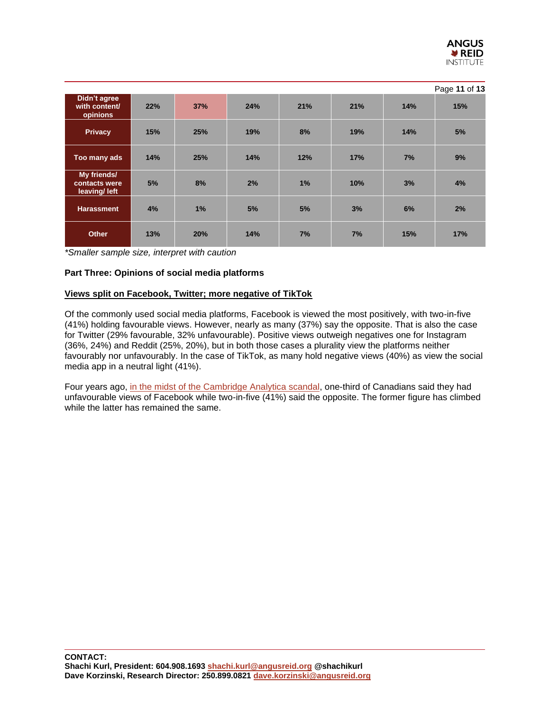

|                                              |     |     |     |     |     |     | Page 11 of 13 |
|----------------------------------------------|-----|-----|-----|-----|-----|-----|---------------|
| Didn't agree<br>with content/<br>opinions    | 22% | 37% | 24% | 21% | 21% | 14% | 15%           |
| <b>Privacy</b>                               | 15% | 25% | 19% | 8%  | 19% | 14% | 5%            |
| Too many ads                                 | 14% | 25% | 14% | 12% | 17% | 7%  | 9%            |
| My friends/<br>contacts were<br>leaving/left | 5%  | 8%  | 2%  | 1%  | 10% | 3%  | 4%            |
| <b>Harassment</b>                            | 4%  | 1%  | 5%  | 5%  | 3%  | 6%  | 2%            |
| <b>Other</b>                                 | 13% | 20% | 14% | 7%  | 7%  | 15% | 17%           |

*\*Smaller sample size, interpret with caution*

# **Part Three: Opinions of social media platforms**

# **Views split on Facebook, Twitter; more negative of TikTok**

Of the commonly used social media platforms, Facebook is viewed the most positively, with two-in-five (41%) holding favourable views. However, nearly as many (37%) say the opposite. That is also the case for Twitter (29% favourable, 32% unfavourable). Positive views outweigh negatives one for Instagram (36%, 24%) and Reddit (25%, 20%), but in both those cases a plurality view the platforms neither favourably nor unfavourably. In the case of TikTok, as many hold negative views (40%) as view the social media app in a neutral light (41%).

Four years ago, [in the midst of the Cambridge Analytica scandal,](https://angusreid.org/facebook-cambridge-analytica-tech/) one-third of Canadians said they had unfavourable views of Facebook while two-in-five (41%) said the opposite. The former figure has climbed while the latter has remained the same.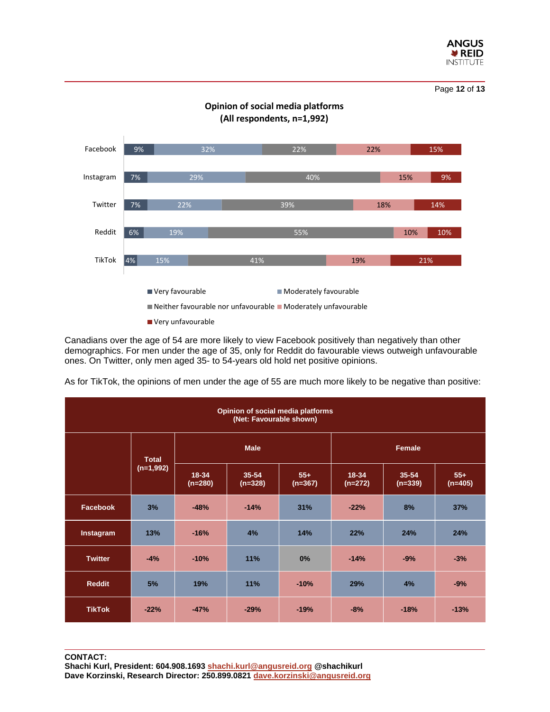

Page **12** of **13**



Canadians over the age of 54 are more likely to view Facebook positively than negatively than other demographics. For men under the age of 35, only for Reddit do favourable views outweigh unfavourable ones. On Twitter, only men aged 35- to 54-years old hold net positive opinions.

As for TikTok, the opinions of men under the age of 55 are much more likely to be negative than positive:

| Opinion of social media platforms<br>(Net: Favourable shown) |             |                             |                        |                    |                    |                        |                    |  |  |
|--------------------------------------------------------------|-------------|-----------------------------|------------------------|--------------------|--------------------|------------------------|--------------------|--|--|
|                                                              |             | <b>Male</b><br><b>Total</b> |                        |                    | <b>Female</b>      |                        |                    |  |  |
|                                                              | $(n=1,992)$ | 18-34<br>$(n=280)$          | $35 - 54$<br>$(n=328)$ | $55+$<br>$(n=367)$ | 18-34<br>$(n=272)$ | $35 - 54$<br>$(n=339)$ | $55+$<br>$(n=405)$ |  |  |
| <b>Facebook</b>                                              | 3%          | $-48%$                      | $-14%$                 | 31%                | $-22%$             | 8%                     | 37%                |  |  |
| Instagram                                                    | 13%         | $-16%$                      | 4%                     | 14%                | 22%                | 24%                    | 24%                |  |  |
| <b>Twitter</b>                                               | $-4%$       | $-10%$                      | 11%                    | 0%                 | $-14%$             | $-9%$                  | $-3%$              |  |  |
| <b>Reddit</b>                                                | 5%          | 19%                         | 11%                    | $-10%$             | 29%                | 4%                     | $-9%$              |  |  |
| <b>TikTok</b>                                                | $-22%$      | $-47%$                      | $-29%$                 | $-19%$             | $-8%$              | $-18%$                 | $-13%$             |  |  |